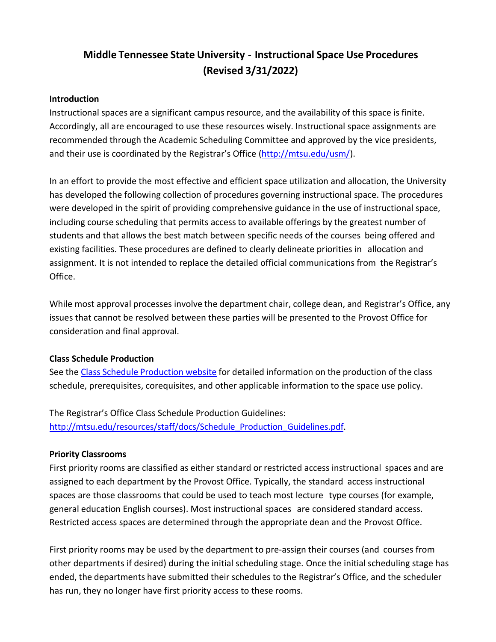# **Middle Tennessee State University - Instructional Space Use Procedures (Revised 3/31/2022)**

#### **Introduction**

Instructional spaces are a significant campus resource, and the availability of this space is finite. Accordingly, all are encouraged to use these resources wisely. Instructional space assignments are recommended through the Academic Scheduling Committee and approved by the vice presidents, and their use is coordinated by the Registrar's Office [\(http://mtsu.edu/usm/\)](http://mtsu.edu/usm/).

In an effort to provide the most effective and efficient space utilization and allocation, the University has developed the following collection of procedures governing instructional space. The procedures were developed in the spirit of providing comprehensive guidance in the use of instructional space, including course scheduling that permits access to available offerings by the greatest number of students and that allows the best match between specific needs of the courses being offered and existing facilities. These procedures are defined to clearly delineate priorities in allocation and assignment. It is not intended to replace the detailed official communications from the Registrar's Office.

While most approval processes involve the department chair, college dean, and Registrar's Office, any issues that cannot be resolved between these parties will be presented to the Provost Office for consideration and final approval.

#### **Class Schedule Production**

See the Class Schedule [Production](http://mtsu.edu/resources/staff/class-schedule-production.php) website for detailed information on the production of the class schedule, prerequisites, corequisites, and other applicable information to the space use policy.

The Registrar's Office Class Schedule Production Guidelines: [http://mtsu.edu/resources/staff/docs/Schedule\\_Production\\_Guidelines.pdf.](http://mtsu.edu/resources/staff/docs/Schedule_Production_Guidelines.pdf)

#### **Priority Classrooms**

First priority rooms are classified as either standard or restricted access instructional spaces and are assigned to each department by the Provost Office. Typically, the standard access instructional spaces are those classrooms that could be used to teach most lecture type courses (for example, general education English courses). Most instructional spaces are considered standard access. Restricted access spaces are determined through the appropriate dean and the Provost Office.

First priority rooms may be used by the department to pre-assign their courses (and courses from other departments if desired) during the initial scheduling stage. Once the initial scheduling stage has ended, the departments have submitted their schedules to the Registrar's Office, and the scheduler has run, they no longer have first priority access to these rooms.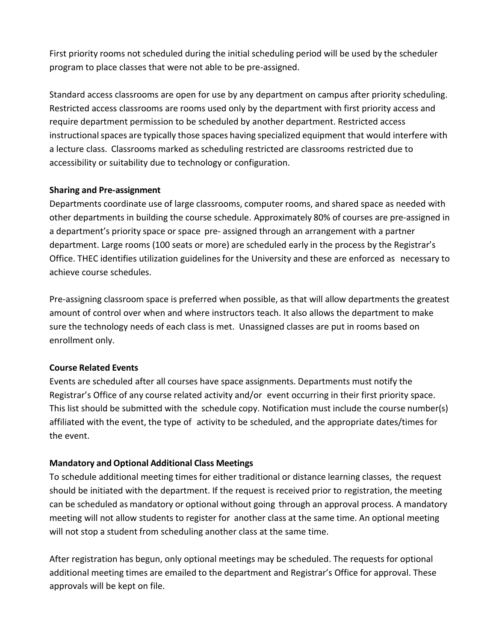First priority rooms not scheduled during the initial scheduling period will be used by the scheduler program to place classes that were not able to be pre-assigned.

Standard access classrooms are open for use by any department on campus after priority scheduling. Restricted access classrooms are rooms used only by the department with first priority access and require department permission to be scheduled by another department. Restricted access instructional spaces are typically those spaces having specialized equipment that would interfere with a lecture class. Classrooms marked as scheduling restricted are classrooms restricted due to accessibility or suitability due to technology or configuration.

### **Sharing and Pre-assignment**

Departments coordinate use of large classrooms, computer rooms, and shared space as needed with other departments in building the course schedule. Approximately 80% of courses are pre-assigned in a department's priority space or space pre- assigned through an arrangement with a partner department. Large rooms (100 seats or more) are scheduled early in the process by the Registrar's Office. THEC identifies utilization guidelines for the University and these are enforced as necessary to achieve course schedules.

Pre-assigning classroom space is preferred when possible, as that will allow departments the greatest amount of control over when and where instructors teach. It also allows the department to make sure the technology needs of each class is met. Unassigned classes are put in rooms based on enrollment only.

### **Course Related Events**

Events are scheduled after all courses have space assignments. Departments must notify the Registrar's Office of any course related activity and/or event occurring in their first priority space. This list should be submitted with the schedule copy. Notification must include the course number(s) affiliated with the event, the type of activity to be scheduled, and the appropriate dates/times for the event.

### **Mandatory and Optional Additional Class Meetings**

To schedule additional meeting times for either traditional or distance learning classes, the request should be initiated with the department. If the request is received prior to registration, the meeting can be scheduled as mandatory or optional without going through an approval process. A mandatory meeting will not allow students to register for another class at the same time. An optional meeting will not stop a student from scheduling another class at the same time.

After registration has begun, only optional meetings may be scheduled. The requests for optional additional meeting times are emailed to the department and Registrar's Office for approval. These approvals will be kept on file.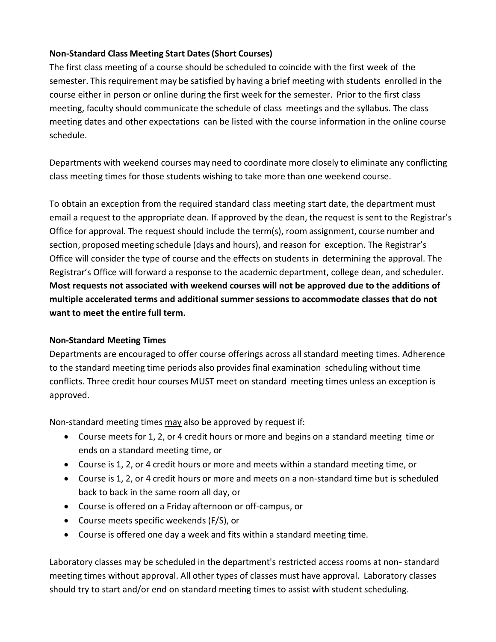### **Non-Standard Class Meeting Start Dates(Short Courses)**

The first class meeting of a course should be scheduled to coincide with the first week of the semester. This requirement may be satisfied by having a brief meeting with students enrolled in the course either in person or online during the first week for the semester. Prior to the first class meeting, faculty should communicate the schedule of class meetings and the syllabus. The class meeting dates and other expectations can be listed with the course information in the online course schedule.

Departments with weekend courses may need to coordinate more closely to eliminate any conflicting class meeting times for those students wishing to take more than one weekend course.

To obtain an exception from the required standard class meeting start date, the department must email a request to the appropriate dean. If approved by the dean, the request is sent to the Registrar's Office for approval. The request should include the term(s), room assignment, course number and section, proposed meeting schedule (days and hours), and reason for exception. The Registrar's Office will consider the type of course and the effects on students in determining the approval. The Registrar's Office will forward a response to the academic department, college dean, and scheduler. **Most requests not associated with weekend courses will not be approved due to the additions of multiple accelerated terms and additional summer sessions to accommodate classes that do not want to meet the entire full term.**

### **Non-Standard Meeting Times**

Departments are encouraged to offer course offerings across all standard meeting times. Adherence to the standard meeting time periods also provides final examination scheduling without time conflicts. Three credit hour courses MUST meet on standard meeting times unless an exception is approved.

Non-standard meeting times may also be approved by request if:

- Course meets for 1, 2, or 4 credit hours or more and begins on a standard meeting time or ends on a standard meeting time, or
- Course is 1, 2, or 4 credit hours or more and meets within a standard meeting time, or
- Course is 1, 2, or 4 credit hours or more and meets on a non-standard time but is scheduled back to back in the same room all day, or
- Course is offered on a Friday afternoon or off-campus, or
- Course meets specific weekends (F/S), or
- Course is offered one day a week and fits within a standard meeting time.

Laboratory classes may be scheduled in the department's restricted access rooms at non- standard meeting times without approval. All other types of classes must have approval. Laboratory classes should try to start and/or end on standard meeting times to assist with student scheduling.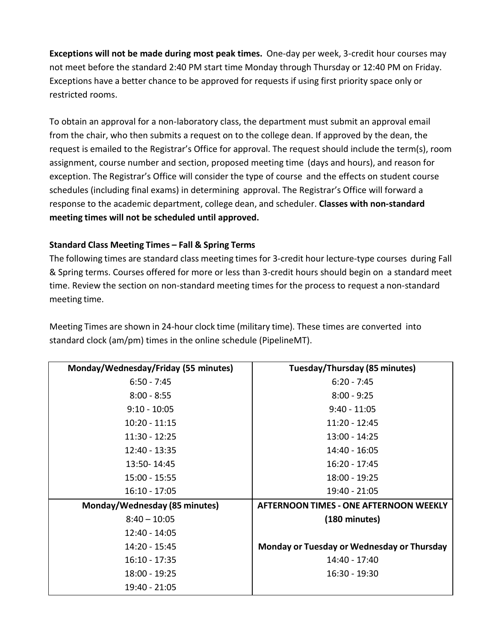**Exceptions will not be made during most peak times.** One-day per week, 3-credit hour courses may not meet before the standard 2:40 PM start time Monday through Thursday or 12:40 PM on Friday. Exceptions have a better chance to be approved for requests if using first priority space only or restricted rooms.

To obtain an approval for a non-laboratory class, the department must submit an approval email from the chair, who then submits a request on to the college dean. If approved by the dean, the request is emailed to the Registrar's Office for approval. The request should include the term(s), room assignment, course number and section, proposed meeting time (days and hours), and reason for exception. The Registrar's Office will consider the type of course and the effects on student course schedules (including final exams) in determining approval. The Registrar's Office will forward a response to the academic department, college dean, and scheduler. **Classes with non-standard meeting times will not be scheduled until approved.**

### **Standard Class Meeting Times – Fall & Spring Terms**

The following times are standard class meeting times for 3-credit hour lecture-type courses during Fall & Spring terms. Courses offered for more or less than 3-credit hours should begin on a standard meet time. Review the section on non-standard meeting times for the process to request a non-standard meeting time.

| Monday/Wednesday/Friday (55 minutes) | Tuesday/Thursday (85 minutes)              |
|--------------------------------------|--------------------------------------------|
| $6:50 - 7:45$                        | $6:20 - 7:45$                              |
| $8:00 - 8:55$                        | $8:00 - 9:25$                              |
| $9:10 - 10:05$                       | $9:40 - 11:05$                             |
| $10:20 - 11:15$                      | 11:20 - 12:45                              |
| 11:30 - 12:25                        | 13:00 - 14:25                              |
| 12:40 - 13:35                        | 14:40 - 16:05                              |
| 13:50-14:45                          | 16:20 - 17:45                              |
| 15:00 - 15:55                        | 18:00 - 19:25                              |
| $16:10 - 17:05$                      | 19:40 - 21:05                              |
| Monday/Wednesday (85 minutes)        | AFTERNOON TIMES - ONE AFTERNOON WEEKLY     |
| $8:40 - 10:05$                       | (180 minutes)                              |
| 12:40 - 14:05                        |                                            |
| 14:20 - 15:45                        | Monday or Tuesday or Wednesday or Thursday |
| $16:10 - 17:35$                      | 14:40 - 17:40                              |
| 18:00 - 19:25                        | 16:30 - 19:30                              |
| 19:40 - 21:05                        |                                            |

Meeting Times are shown in 24-hour clock time (military time). These times are converted into standard clock (am/pm) times in the online schedule (PipelineMT).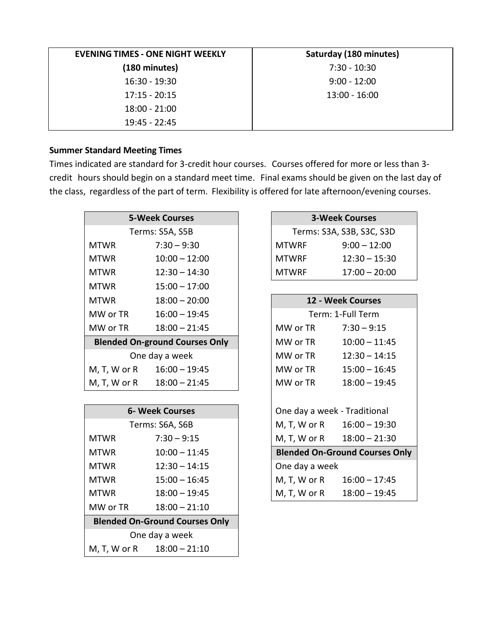| <b>EVENING TIMES - ONE NIGHT WEEKLY</b> | Saturday (180 minutes) |
|-----------------------------------------|------------------------|
| (180 minutes)                           | $7:30 - 10:30$         |
| 16:30 - 19:30                           | $9:00 - 12:00$         |
| $17:15 - 20:15$                         | $13:00 - 16:00$        |
| $18:00 - 21:00$                         |                        |
| $19:45 - 22:45$                         |                        |

#### **Summer Standard Meeting Times**

Times indicated are standard for 3-credit hour courses. Courses offered for more or less than 3 credit hours should begin on a standard meet time. Final exams should be given on the last day of the class, regardless of the part of term. Flexibility is offered for late afternoon/evening courses.

|                                       | <b>5-Week Courses</b>      |              | <b>3-Week Courses</b>     |
|---------------------------------------|----------------------------|--------------|---------------------------|
|                                       | Terms: S5A, S5B            |              | Terms: S3A, S3B, S3C, S3D |
| <b>MTWR</b>                           | $7:30 - 9:30$              | <b>MTWRF</b> | $9:00 - 12:00$            |
| <b>MTWR</b>                           | $10:00 - 12:00$            | <b>MTWRF</b> | $12:30 - 15:30$           |
| <b>MTWR</b>                           | $12:30 - 14:30$            | <b>MTWRF</b> | $17:00 - 20:00$           |
| <b>MTWR</b>                           | $15:00 - 17:00$            |              |                           |
| <b>MTWR</b>                           | $18:00 - 20:00$            |              | 12 - Week Courses         |
| MW or TR                              | $16:00 - 19:45$            |              | Term: 1-Full Term         |
| MW or TR                              | $18:00 - 21:45$            | MW or TR     | $7:30 - 9:15$             |
| <b>Blended On-ground Courses Only</b> |                            | MW or TR     | $10:00 - 11:45$           |
| One day a week                        |                            | MW or TR     | $12:30 - 14:15$           |
|                                       | M, T, W or R 16:00 - 19:45 | MW or TR     | $15:00 - 16:45$           |
| M, T, W or R                          | $18:00 - 21:45$            | MW or TR     | $18:00 - 19:45$           |
|                                       |                            |              |                           |

| <b>6- Week Courses</b>                |                 | One day a week - Traditional |                                       |
|---------------------------------------|-----------------|------------------------------|---------------------------------------|
|                                       | Terms: S6A, S6B |                              | M, T, W or R 16:00 - 19:30            |
| <b>MTWR</b>                           | $7:30 - 9:15$   |                              | M, T, W or R 18:00 - 21:30            |
| <b>MTWR</b>                           | $10:00 - 11:45$ |                              | <b>Blended On-Ground Courses Only</b> |
| <b>MTWR</b>                           | $12:30 - 14:15$ | One day a week               |                                       |
| <b>MTWR</b>                           | $15:00 - 16:45$ |                              | M, T, W or R $16:00 - 17:45$          |
| <b>MTWR</b>                           | $18:00 - 19:45$ | M, T, W or R                 | $18:00 - 19:45$                       |
| MW or TR                              | $18:00 - 21:10$ |                              |                                       |
| <b>Blended On-Ground Courses Only</b> |                 |                              |                                       |
| One day a week                        |                 |                              |                                       |
| M, T, W or R                          | $18:00 - 21:10$ |                              |                                       |

## **5-Week Courses 3-Week Courses** Terms: S3A, S3B, S3C, S3D MTWRF 9:00 – 12:00

| MTWRF | $12:30 - 15:30$ |
|-------|-----------------|
| MTWRF | $17:00 - 20:00$ |

|                 | $18:00 - 20:00$               |                              |                | 12 - Week Courses                     |
|-----------------|-------------------------------|------------------------------|----------------|---------------------------------------|
|                 | $16:00 - 19:45$               |                              |                | Term: 1-Full Term                     |
|                 | $18:00 - 21:45$               |                              | MW or TR       | $7:30 - 9:15$                         |
|                 | <b>On-ground Courses Only</b> |                              | MW or TR       | $10:00 - 11:45$                       |
|                 | One day a week                |                              | MW or TR       | $12:30 - 14:15$                       |
| r R             | $16:00 - 19:45$               |                              | MW or TR       | $15:00 - 16:45$                       |
|                 | r R 18:00 - 21:45             |                              | MW or TR       | $18:00 - 19:45$                       |
|                 |                               |                              |                |                                       |
| 6- Week Courses |                               | One day a week - Traditional |                |                                       |
|                 | Terms: S6A, S6B               |                              |                | M, T, W or R 16:00 - 19:30            |
|                 | $7:30 - 9:15$                 |                              |                | M, T, W or R 18:00 - 21:30            |
|                 | $10:00 - 11:45$               |                              |                | <b>Blended On-Ground Courses Only</b> |
|                 | $12:30 - 14:15$               |                              | One day a week |                                       |
|                 | $15:00 - 16:45$               |                              |                | M, T, W or R 16:00 - 17:45            |
|                 | $18:00 - 19:45$               |                              | M, T, W or R   | $18:00 - 19:45$                       |
|                 |                               |                              |                |                                       |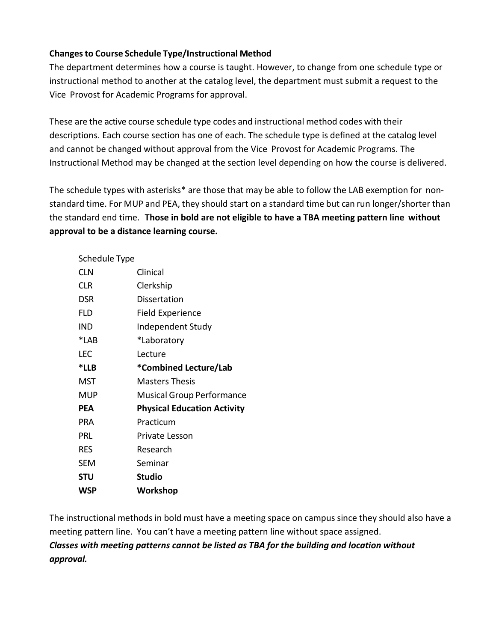### **Changesto Course Schedule Type/Instructional Method**

The department determines how a course is taught. However, to change from one schedule type or instructional method to another at the catalog level, the department must submit a request to the Vice Provost for Academic Programs for approval.

These are the active course schedule type codes and instructional method codes with their descriptions. Each course section has one of each. The schedule type is defined at the catalog level and cannot be changed without approval from the Vice Provost for Academic Programs. The Instructional Method may be changed at the section level depending on how the course is delivered.

The schedule types with asterisks\* are those that may be able to follow the LAB exemption for nonstandard time. For MUP and PEA, they should start on a standard time but can run longer/shorter than the standard end time. **Those in bold are not eligible to have a TBA meeting pattern line without approval to be a distance learning course.**

| <b>Schedule Type</b> |                                    |
|----------------------|------------------------------------|
| <b>CLN</b>           | Clinical                           |
| <b>CLR</b>           | Clerkship                          |
| DSR                  | Dissertation                       |
| FLD                  | Field Experience                   |
| IND                  | Independent Study                  |
| *LAB                 | *Laboratory                        |
| LEC                  | Lecture                            |
| *LLB                 | *Combined Lecture/Lab              |
| MST                  | Masters Thesis                     |
| MUP                  | <b>Musical Group Performance</b>   |
| <b>PEA</b>           | <b>Physical Education Activity</b> |
| PRA                  | Practicum                          |
| PRL                  | Private Lesson                     |
| RES                  | Research                           |
| SEM                  | Seminar                            |
| STU                  | <b>Studio</b>                      |
| WSP                  | Workshop                           |

The instructional methods in bold must have a meeting space on campus since they should also have a meeting pattern line. You can't have a meeting pattern line without space assigned.

*Classes with meeting patterns cannot be listed as TBA for the building and location without approval.*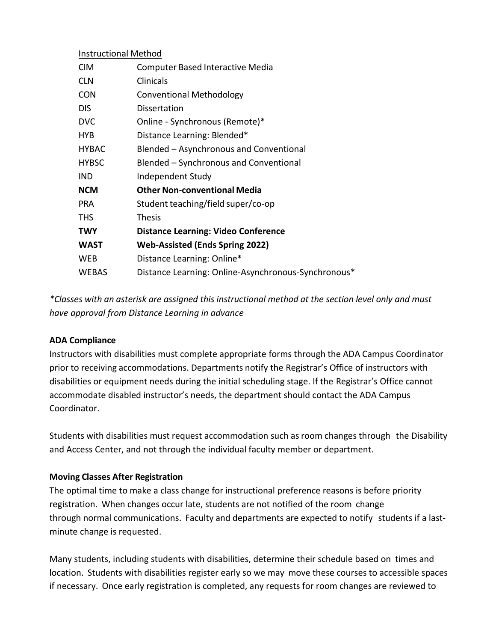| <b>Instructional Method</b> |  |
|-----------------------------|--|
|                             |  |

| <b>CIM</b>   | <b>Computer Based Interactive Media</b>             |
|--------------|-----------------------------------------------------|
| <b>CLN</b>   | Clinicals                                           |
| <b>CON</b>   | <b>Conventional Methodology</b>                     |
| <b>DIS</b>   | Dissertation                                        |
| <b>DVC</b>   | Online - Synchronous (Remote)*                      |
| <b>HYB</b>   | Distance Learning: Blended*                         |
| <b>HYBAC</b> | Blended - Asynchronous and Conventional             |
| <b>HYBSC</b> | Blended - Synchronous and Conventional              |
| <b>IND</b>   | Independent Study                                   |
| <b>NCM</b>   | <b>Other Non-conventional Media</b>                 |
| <b>PRA</b>   | Student teaching/field super/co-op                  |
| <b>THS</b>   | <b>Thesis</b>                                       |
| <b>TWY</b>   | <b>Distance Learning: Video Conference</b>          |
| <b>WAST</b>  | <b>Web-Assisted (Ends Spring 2022)</b>              |
| WEB          | Distance Learning: Online*                          |
| <b>WEBAS</b> | Distance Learning: Online-Asynchronous-Synchronous* |

*\*Classes with an asterisk are assigned this instructional method at the section level only and must have approval from Distance Learning in advance*

#### **ADA Compliance**

Instructors with disabilities must complete appropriate forms through the ADA Campus Coordinator prior to receiving accommodations. Departments notify the Registrar's Office of instructors with disabilities or equipment needs during the initial scheduling stage. If the Registrar's Office cannot accommodate disabled instructor's needs, the department should contact the ADA Campus Coordinator.

Students with disabilities must request accommodation such as room changes through the Disability and Access Center, and not through the individual faculty member or department.

#### **Moving Classes After Registration**

The optimal time to make a class change for instructional preference reasons is before priority registration. When changes occur late, students are not notified of the room change through normal communications. Faculty and departments are expected to notify students if a lastminute change is requested.

Many students, including students with disabilities, determine their schedule based on times and location. Students with disabilities register early so we may move these courses to accessible spaces if necessary. Once early registration is completed, any requests for room changes are reviewed to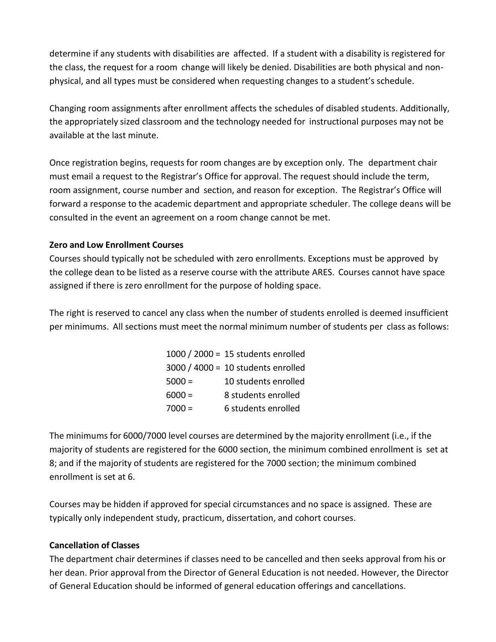determine if any students with disabilities are affected. If a student with a disability is registered for the class, the request for a room change will likely be denied. Disabilities are both physical and nonphysical, and all types must be considered when requesting changes to a student's schedule.

Changing room assignments after enrollment affects the schedules of disabled students. Additionally, the appropriately sized classroom and the technology needed for instructional purposes may not be available at the last minute.

Once registration begins, requests for room changes are by exception only. The department chair must email a request to the Registrar's Office for approval. The request should include the term, room assignment, course number and section, and reason for exception. The Registrar's Office will forward a response to the academic department and appropriate scheduler. The college deans will be consulted in the event an agreement on a room change cannot be met.

### **Zero and Low Enrollment Courses**

Courses should typically not be scheduled with zero enrollments. Exceptions must be approved by the college dean to be listed as a reserve course with the attribute ARES. Courses cannot have space assigned if there is zero enrollment for the purpose of holding space.

The right is reserved to cancel any class when the number of students enrolled is deemed insufficient per minimums. All sections must meet the normal minimum number of students per class as follows:

|          | 1000 / 2000 = 15 students enrolled |
|----------|------------------------------------|
|          | 3000 / 4000 = 10 students enrolled |
| $5000 =$ | 10 students enrolled               |
| $6000 =$ | 8 students enrolled                |
| $7000 =$ | 6 students enrolled                |

The minimums for 6000/7000 level courses are determined by the majority enrollment (i.e., if the majority of students are registered for the 6000 section, the minimum combined enrollment is set at 8; and if the majority of students are registered for the 7000 section; the minimum combined enrollment is set at 6.

Courses may be hidden if approved for special circumstances and no space is assigned. These are typically only independent study, practicum, dissertation, and cohort courses.

### **Cancellation of Classes**

The department chair determines if classes need to be cancelled and then seeks approval from his or her dean. Prior approval from the Director of General Education is not needed. However, the Director of General Education should be informed of general education offerings and cancellations.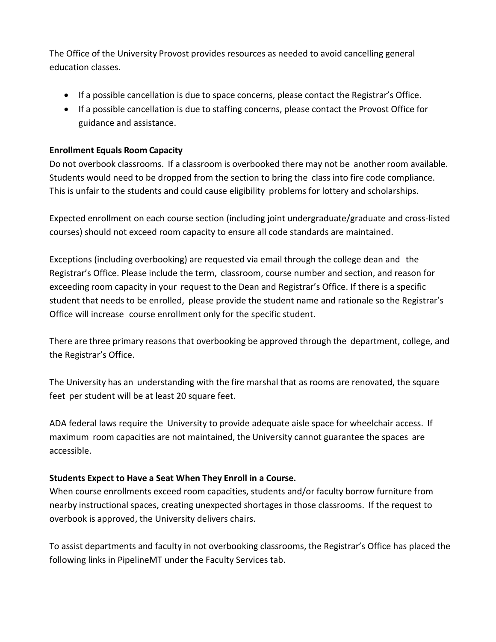The Office of the University Provost provides resources as needed to avoid cancelling general education classes.

- If a possible cancellation is due to space concerns, please contact the Registrar's Office.
- If a possible cancellation is due to staffing concerns, please contact the Provost Office for guidance and assistance.

### **Enrollment Equals Room Capacity**

Do not overbook classrooms. If a classroom is overbooked there may not be another room available. Students would need to be dropped from the section to bring the class into fire code compliance. This is unfair to the students and could cause eligibility problems for lottery and scholarships.

Expected enrollment on each course section (including joint undergraduate/graduate and cross-listed courses) should not exceed room capacity to ensure all code standards are maintained.

Exceptions (including overbooking) are requested via email through the college dean and the Registrar's Office. Please include the term, classroom, course number and section, and reason for exceeding room capacity in your request to the Dean and Registrar's Office. If there is a specific student that needs to be enrolled, please provide the student name and rationale so the Registrar's Office will increase course enrollment only for the specific student.

There are three primary reasons that overbooking be approved through the department, college, and the Registrar's Office.

The University has an understanding with the fire marshal that as rooms are renovated, the square feet per student will be at least 20 square feet.

ADA federal laws require the University to provide adequate aisle space for wheelchair access. If maximum room capacities are not maintained, the University cannot guarantee the spaces are accessible.

### **Students Expect to Have a Seat When They Enroll in a Course.**

When course enrollments exceed room capacities, students and/or faculty borrow furniture from nearby instructional spaces, creating unexpected shortages in those classrooms. If the request to overbook is approved, the University delivers chairs.

To assist departments and faculty in not overbooking classrooms, the Registrar's Office has placed the following links in PipelineMT under the Faculty Services tab.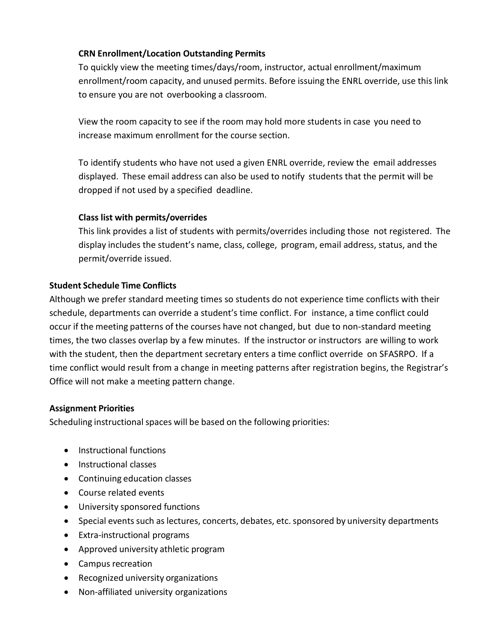### **CRN Enrollment/Location Outstanding Permits**

To quickly view the meeting times/days/room, instructor, actual enrollment/maximum enrollment/room capacity, and unused permits. Before issuing the ENRL override, use this link to ensure you are not overbooking a classroom.

View the room capacity to see if the room may hold more students in case you need to increase maximum enrollment for the course section.

To identify students who have not used a given ENRL override, review the email addresses displayed. These email address can also be used to notify students that the permit will be dropped if not used by a specified deadline.

### **Class list with permits/overrides**

This link provides a list of students with permits/overrides including those not registered. The display includes the student's name, class, college, program, email address, status, and the permit/override issued.

### **Student Schedule Time Conflicts**

Although we prefer standard meeting times so students do not experience time conflicts with their schedule, departments can override a student's time conflict. For instance, a time conflict could occur if the meeting patterns of the courses have not changed, but due to non-standard meeting times, the two classes overlap by a few minutes. If the instructor or instructors are willing to work with the student, then the department secretary enters a time conflict override on SFASRPO. If a time conflict would result from a change in meeting patterns after registration begins, the Registrar's Office will not make a meeting pattern change.

### **Assignment Priorities**

Scheduling instructional spaces will be based on the following priorities:

- Instructional functions
- Instructional classes
- Continuing education classes
- Course related events
- University sponsored functions
- Special events such as lectures, concerts, debates, etc. sponsored by university departments
- Extra-instructional programs
- Approved university athletic program
- Campus recreation
- Recognized university organizations
- Non-affiliated university organizations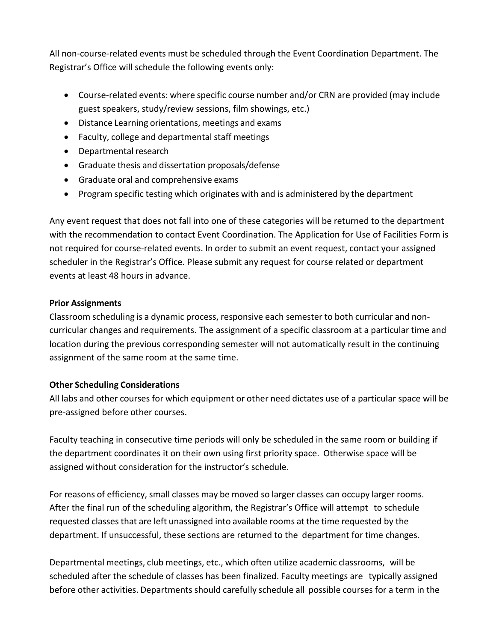All non-course-related events must be scheduled through the Event Coordination Department. The Registrar's Office will schedule the following events only:

- Course-related events: where specific course number and/or CRN are provided (may include guest speakers, study/review sessions, film showings, etc.)
- Distance Learning orientations, meetings and exams
- Faculty, college and departmental staff meetings
- Departmental research
- Graduate thesis and dissertation proposals/defense
- Graduate oral and comprehensive exams
- Program specific testing which originates with and is administered by the department

Any event request that does not fall into one of these categories will be returned to the department with the recommendation to contact Event Coordination. The Application for Use of Facilities Form is not required for course-related events. In order to submit an event request, contact your assigned scheduler in the Registrar's Office. Please submit any request for course related or department events at least 48 hours in advance.

### **Prior Assignments**

Classroom scheduling is a dynamic process, responsive each semester to both curricular and noncurricular changes and requirements. The assignment of a specific classroom at a particular time and location during the previous corresponding semester will not automatically result in the continuing assignment of the same room at the same time.

### **Other Scheduling Considerations**

All labs and other courses for which equipment or other need dictates use of a particular space will be pre-assigned before other courses.

Faculty teaching in consecutive time periods will only be scheduled in the same room or building if the department coordinates it on their own using first priority space. Otherwise space will be assigned without consideration for the instructor's schedule.

For reasons of efficiency, small classes may be moved so larger classes can occupy larger rooms. After the final run of the scheduling algorithm, the Registrar's Office will attempt to schedule requested classes that are left unassigned into available rooms at the time requested by the department. If unsuccessful, these sections are returned to the department for time changes.

Departmental meetings, club meetings, etc., which often utilize academic classrooms, will be scheduled after the schedule of classes has been finalized. Faculty meetings are typically assigned before other activities. Departments should carefully schedule all possible courses for a term in the